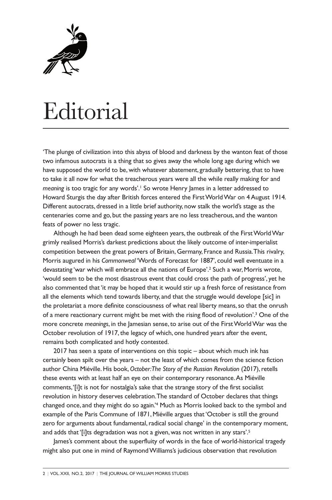

## Editorial

'The plunge of civilization into this abyss of blood and darkness by the wanton feat of those two infamous autocrats is a thing that so gives away the whole long age during which we have supposed the world to be, with whatever abatement, gradually bettering, that to have to take it all now for what the treacherous years were all the while really making for and *meaning* is too tragic for any words'. <sup>1</sup> So wrote Henry James in a letter addressed to Howard Sturgis the day after British forces entered the FirstWorldWar on 4August 1914. Different autocrats, dressed in a little brief authority, now stalk the world's stage as the centenaries come and go, but the passing years are no less treacherous, and the wanton feats of power no less tragic.

Although he had been dead some eighteen years, the outbreak of the First World War grimly realised Morris's darkest predictions about the likely outcome of inter-imperialist competition between the great powers of Britain, Germany, France and Russia.This rivalry, Morris augured in his *Commonweal* 'Words of Forecast for 1887', could well eventuate in a devastating 'war which will embrace all the nations of Europe'.<sup>2</sup> Such a war, Morris wrote, 'would seem to be the most disastrous event that could cross the path of progress', yet he also commented that'it may be hoped that it would stir up a fresh force of resistance from all the elements which tend towards liberty, and that the struggle would develope [sic] in the proletariat a more definite consciousness of what real liberty means, so that the onrush of a mere reactionary current might be met with the rising flood of revolution'. <sup>3</sup> One of the more concrete *meanings*, in the Jamesian sense,to arise out of the FirstWorldWar was the October revolution of 1917, the legacy of which, one hundred years after the event, remains both complicated and hotly contested.

2017 has seen a spate of interventions on this topic – about which much ink has certainly been spilt over the years – not the least of which comes from the science fiction author China Miéville. His book,*October:The Story of the Russian Revolution* (2017),retells these events with at least half an eye on their contemporary resonance.As Miéville comments,'[i]t is not for nostalgia's sake that the strange story of the first socialist revolution in history deserves celebration.The standard of October declares that things changed once, and they might do so again.' <sup>4</sup> Much as Morris looked back to the symbol and example of the Paris Commune of 1871, Miéville argues that'October is still the ground zero for arguments about fundamental, radical social change' in the contemporary moment, and adds that'[i]ts degradation was not a given, was not written in any stars'. 5

James's comment about the superfluity of words in the face of world-historical tragedy might also put one in mind of RaymondWilliams's judicious observation that revolution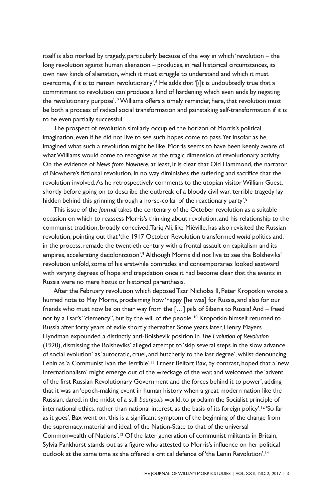itself is also marked by tragedy, particularly because of the way in which 'revolution – the long revolution against human alienation – produces, in real historical circumstances, its own new kinds of alienation, which it must struggle to understand and which it must overcome, if it is to remain revolutionary'.<sup>6</sup> He adds that '[i]t is undoubtedly true that a commitment to revolution can produce a kind of hardening which even ends by negating the revolutionary purpose'. <sup>7</sup> Williams offers a timely reminder, here, that revolution must be both a process of radical social transformation and painstaking self-transformation if it is to be even partially successful.

The prospect of revolution similarly occupied the horizon of Morris's political imagination, even if he did not live to see such hopes come to pass.Yet insofar as he imagined what such a revolution might be like,Morris seems to have been keenly aware of whatWilliams would come to recognise as the tragic dimension of revolutionary activity. On the evidence of *News from Nowhere*, at least, it is clear that Old Hammond,the narrator of Nowhere's fictional revolution, in no way diminishes the suffering and sacrifice that the revolution involved.As he retrospectively comments to the utopian visitorWilliam Guest, shortly before going on to describe the outbreak of a bloody civil war,'terrible tragedy lay hidden behind this grinning through a horse-collar of the reactionary party'. 8

This issue of the *Journal* takes the centenary of the October revolution as a suitable occasion on which to reassess Morris's thinking about revolution, and his relationship to the communist tradition, broadly conceived.TariqAli, like Miéville, has also revisited the Russian revolution, pointing out that'the 1917 October Revolution transformed *world* politics and, in the process, remade the twentieth century with a frontal assault on capitalism and its empires, accelerating decolonization'. <sup>9</sup> Although Morris did not live to see the Bolsheviks' revolution unfold,some of his erstwhile comrades and contemporaries looked eastward with varying degrees of hope and trepidation once it had become clear that the events in Russia were no mere hiatus or historical parenthesis.

After the February revolution which deposedTsar Nicholas II, Peter Kropotkin wrote a hurried note to May Morris, proclaiming how 'happy [he was] for Russia, and also for our friends who must now be on their way from the [...] jails of Siberia to Russia! And – freed not by aTsar's "clemency", but by the will of the people.' <sup>10</sup> Kropotkin himself returned to Russia after forty years of exile shortly thereafter. Some years later, Henry Mayers Hyndman expounded a distinctly anti-Bolshevik position in *The Evolution of Revolution* (1920), dismissing the Bolsheviks' alleged attempt to 'skip several steps in the slow advance of social evolution' as'autocratic, cruel, and butcherly to the last degree', whilst denouncing Lenin as 'a Communist Ivan the Terrible'.<sup>11</sup> Ernest Belfort Bax, by contrast, hoped that a 'new Internationalism' might emerge out of the wreckage of the war, and welcomed the 'advent of the first Russian Revolutionary Government and the forces behind it to power', adding that it was an 'epoch-making event in human history when a great modern nation like the Russian, dared, in the midst of a still *bourgeois* world, to proclaim the Socialist principle of international ethics, rather than national interest, as the basis of its foreign policy'.<sup>12</sup> 'So far as it goes', Bax went on,'this is a significant symptom of the beginning of the change from the supremacy, material and ideal, of the Nation-State to that of the universal Commonwealth of Nations'. <sup>13</sup> Of the later generation of communist militants in Britain, Sylvia Pankhurst stands out as a figure who attested to Morris's influence on her political outlook at the same time as she offered a critical defence of 'the Lenin Revolution'.<sup>14</sup>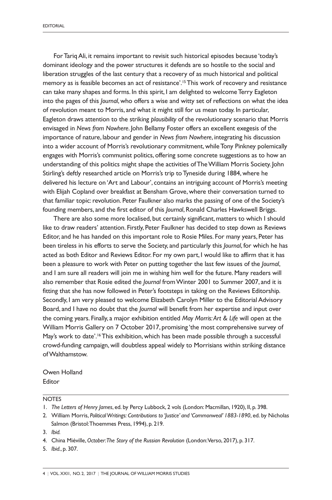ForTariqAli, it remains important to revisit such historical episodes because 'today's dominant ideology and the power structures it defends are so hostile to the social and liberation struggles of the last century that a recovery of as much historical and political memory as is feasible becomes an act of resistance'. 15This work of recovery and resistance can take many shapes and forms. In this spirit, I am delighted to welcomeTerry Eagleton into the pages of this *Journal*, who offers a wise and witty set of reflections on what the idea of revolution meant to Morris, and what it might still for us mean today. In particular, Eagleton draws attention to the striking *plausibility* of the revolutionary scenario that Morris envisaged in *News from Nowhere*. John Bellamy Foster offers an excellent exegesis of the importance of nature, labour and gender in *News from Nowhere*, integrating his discussion into a wider account of Morris's revolutionary commitment, while Tony Pinkney polemically engages with Morris's communist politics, offering some concrete suggestions as to how an understanding of this politics might shape the activities ofTheWilliam Morris Society. John Stirling's deftly researched article on Morris's trip to Tyneside during 1884, where he delivered his lecture on 'Art and Labour', contains an intriguing account of Morris's meeting with Elijah Copland over breakfast at Bensham Grove, where their conversation turned to that familiar topic: revolution. Peter Faulkner also marks the passing of one of the Society's founding members, and the first editor of this *Journal*, Ronald Charles Hawkswell Briggs.

There are also some more localised, but certainly significant, matters to which I should like to draw readers' attention. Firstly, Peter Faulkner has decided to step down as Reviews Editor, and he has handed on this important role to Rosie Miles. For many years, Peter has been tireless in his efforts to serve the Society, and particularly this *Journal*, for which he has acted as both Editor and Reviews Editor. For my own part, I would like to affirm that it has been a pleasure to work with Peter on putting together the last few issues of the *Journal*, and I am sure all readers will join me in wishing him well for the future. Many readers will also remember that Rosie edited the *Journal* fromWinter 2001 to Summer 2007, and it is fitting that she has now followed in Peter's footsteps in taking on the Reviews Editorship. Secondly, I am very pleased to welcome Elizabeth Carolyn Miller to the Editorial Advisory Board, and I have no doubt that the *Journal* will benefit from her expertise and input over the coming years. Finally, a major exhibition entitled *May Morris:Art & Life* will open at the William Morris Gallery on 7 October 2017, promising 'the most comprehensive survey of May's work to date'.<sup>16</sup> This exhibition, which has been made possible through a successful crowd-funding campaign, will doubtless appeal widely to Morrisians within striking distance ofWalthamstow.

Owen Holland Editor

## **NOTES**

3. *Ibid.*

5. *Ibid.*, p. 307.

<sup>1.</sup> *The Letters of Henry James*, ed. by Percy Lubbock, 2 vols (London: Macmillan, 1920), II, p. 398.

<sup>2.</sup> William Morris, *PoliticalWritings: Contributions to 'Justice' and 'Commonweal' 1883-1890*, ed. by Nicholas Salmon (Bristol:Thoemmes Press, 1994), p. 219.

<sup>4.</sup> China Miéville,*October:The Story of the Russian Revolution* (London:Verso, 2017), p. 317.